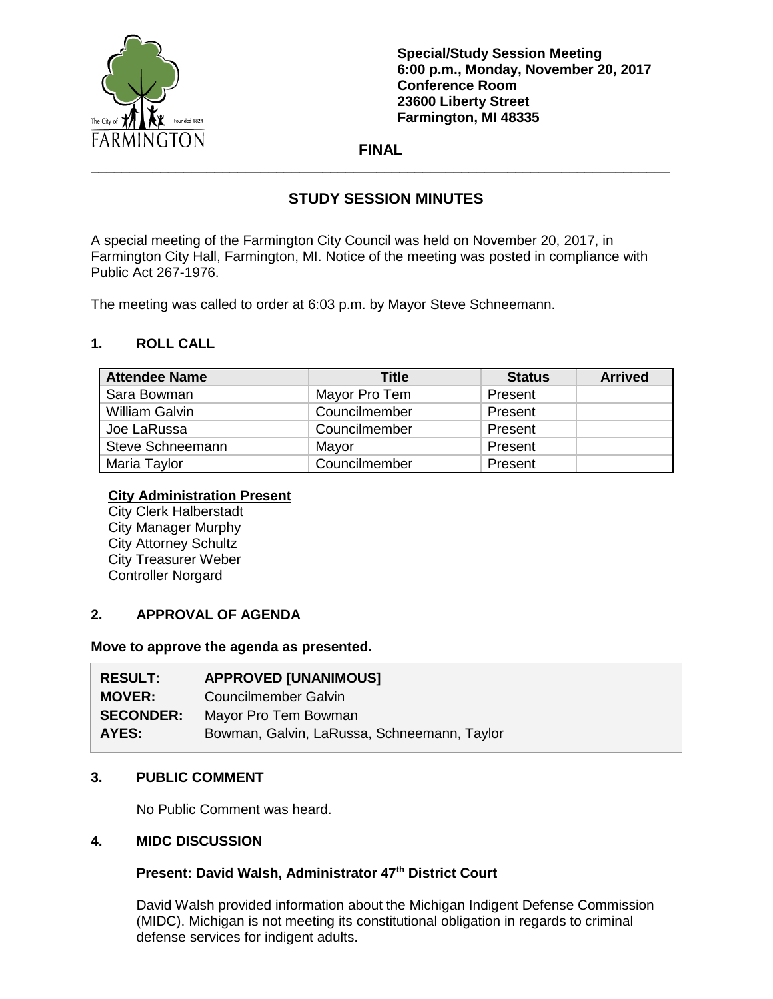

**Special/Study Session Meeting 6:00 p.m., Monday, November 20, 2017 Conference Room 23600 Liberty Street Farmington, MI 48335**

## **FINAL \_\_\_\_\_\_\_\_\_\_\_\_\_\_\_\_\_\_\_\_\_\_\_\_\_\_\_\_\_\_\_\_\_\_\_\_\_\_\_\_\_\_\_\_\_\_\_\_\_\_\_\_\_\_\_\_\_\_\_\_\_\_\_\_\_\_\_\_\_\_\_\_\_\_\_**

# **STUDY SESSION MINUTES**

A special meeting of the Farmington City Council was held on November 20, 2017, in Farmington City Hall, Farmington, MI. Notice of the meeting was posted in compliance with Public Act 267-1976.

The meeting was called to order at 6:03 p.m. by Mayor Steve Schneemann.

### **1. ROLL CALL**

| <b>Attendee Name</b> | Title         | <b>Status</b> | <b>Arrived</b> |
|----------------------|---------------|---------------|----------------|
| Sara Bowman          | Mayor Pro Tem | Present       |                |
| William Galvin       | Councilmember | Present       |                |
| Joe LaRussa          | Councilmember | Present       |                |
| Steve Schneemann     | Mayor         | Present       |                |
| Maria Taylor         | Councilmember | Present       |                |

#### **City Administration Present**

City Clerk Halberstadt City Manager Murphy City Attorney Schultz City Treasurer Weber Controller Norgard

## **2. APPROVAL OF AGENDA**

#### **Move to approve the agenda as presented.**

| <b>RESULT:</b>   | <b>APPROVED [UNANIMOUS]</b>                 |
|------------------|---------------------------------------------|
| <b>MOVER:</b>    | Councilmember Galvin                        |
| <b>SECONDER:</b> | Mayor Pro Tem Bowman                        |
| AYES:            | Bowman, Galvin, LaRussa, Schneemann, Taylor |

### **3. PUBLIC COMMENT**

No Public Comment was heard.

### **4. MIDC DISCUSSION**

### **Present: David Walsh, Administrator 47th District Court**

David Walsh provided information about the Michigan Indigent Defense Commission (MIDC). Michigan is not meeting its constitutional obligation in regards to criminal defense services for indigent adults.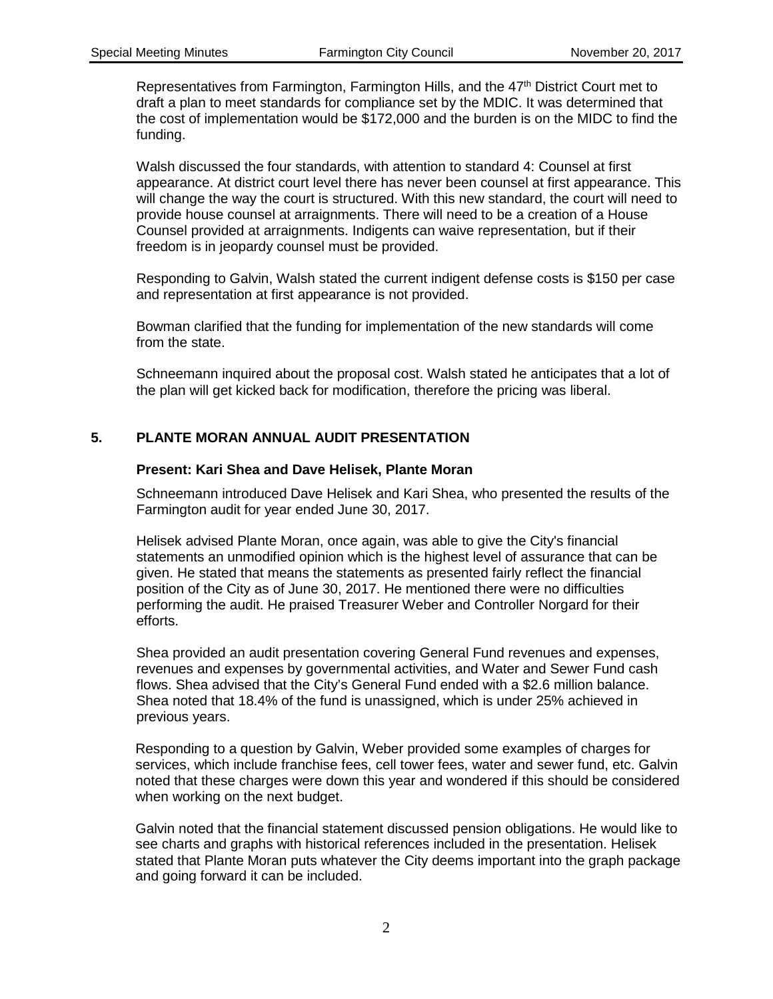Representatives from Farmington, Farmington Hills, and the 47th District Court met to draft a plan to meet standards for compliance set by the MDIC. It was determined that the cost of implementation would be \$172,000 and the burden is on the MIDC to find the funding.

Walsh discussed the four standards, with attention to standard 4: Counsel at first appearance. At district court level there has never been counsel at first appearance. This will change the way the court is structured. With this new standard, the court will need to provide house counsel at arraignments. There will need to be a creation of a House Counsel provided at arraignments. Indigents can waive representation, but if their freedom is in jeopardy counsel must be provided.

Responding to Galvin, Walsh stated the current indigent defense costs is \$150 per case and representation at first appearance is not provided.

Bowman clarified that the funding for implementation of the new standards will come from the state.

Schneemann inquired about the proposal cost. Walsh stated he anticipates that a lot of the plan will get kicked back for modification, therefore the pricing was liberal.

### **5. PLANTE MORAN ANNUAL AUDIT PRESENTATION**

#### **Present: Kari Shea and Dave Helisek, Plante Moran**

Schneemann introduced Dave Helisek and Kari Shea, who presented the results of the Farmington audit for year ended June 30, 2017.

Helisek advised Plante Moran, once again, was able to give the City's financial statements an unmodified opinion which is the highest level of assurance that can be given. He stated that means the statements as presented fairly reflect the financial position of the City as of June 30, 2017. He mentioned there were no difficulties performing the audit. He praised Treasurer Weber and Controller Norgard for their efforts.

Shea provided an audit presentation covering General Fund revenues and expenses, revenues and expenses by governmental activities, and Water and Sewer Fund cash flows. Shea advised that the City's General Fund ended with a \$2.6 million balance. Shea noted that 18.4% of the fund is unassigned, which is under 25% achieved in previous years.

Responding to a question by Galvin, Weber provided some examples of charges for services, which include franchise fees, cell tower fees, water and sewer fund, etc. Galvin noted that these charges were down this year and wondered if this should be considered when working on the next budget.

Galvin noted that the financial statement discussed pension obligations. He would like to see charts and graphs with historical references included in the presentation. Helisek stated that Plante Moran puts whatever the City deems important into the graph package and going forward it can be included.